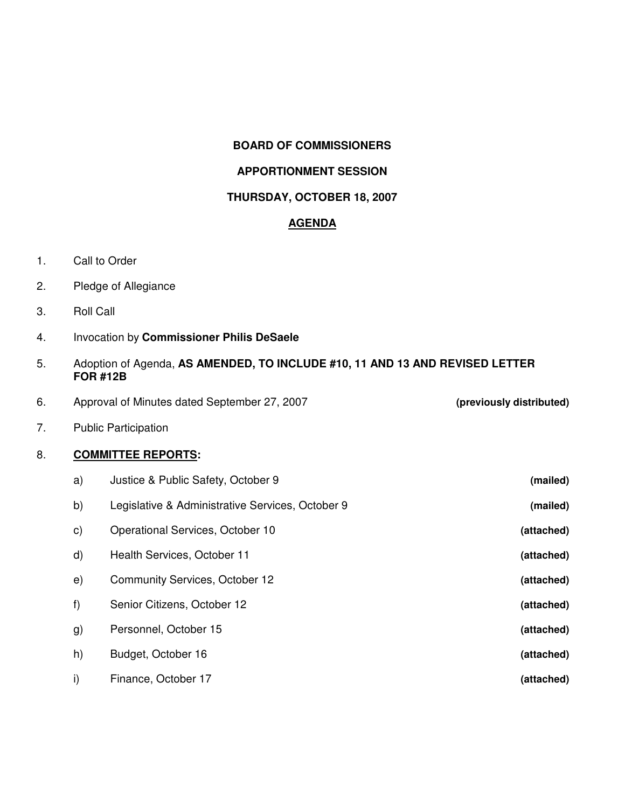### **BOARD OF COMMISSIONERS**

## **APPORTIONMENT SESSION**

#### **THURSDAY, OCTOBER 18, 2007**

### **AGENDA**

- 1. Call to Order
- 2. Pledge of Allegiance
- 3. Roll Call
- 4. Invocation by **Commissioner Philis DeSaele**
- 5. Adoption of Agenda, **AS AMENDED, TO INCLUDE #10, 11 AND 13 AND REVISED LETTER FOR #12B**
- 6. Approval of Minutes dated September 27, 2007 **(previously distributed)**

7. Public Participation

## 8. **COMMITTEE REPORTS:**

| a)            | Justice & Public Safety, October 9               | (mailed)   |
|---------------|--------------------------------------------------|------------|
| b)            | Legislative & Administrative Services, October 9 | (mailed)   |
| $\mathsf{c})$ | Operational Services, October 10                 | (attached) |
| d)            | Health Services, October 11                      | (attached) |
| e)            | <b>Community Services, October 12</b>            | (attached) |
| f)            | Senior Citizens, October 12                      | (attached) |
| g)            | Personnel, October 15                            | (attached) |
| h)            | Budget, October 16                               | (attached) |
| i)            | Finance, October 17                              | (attached) |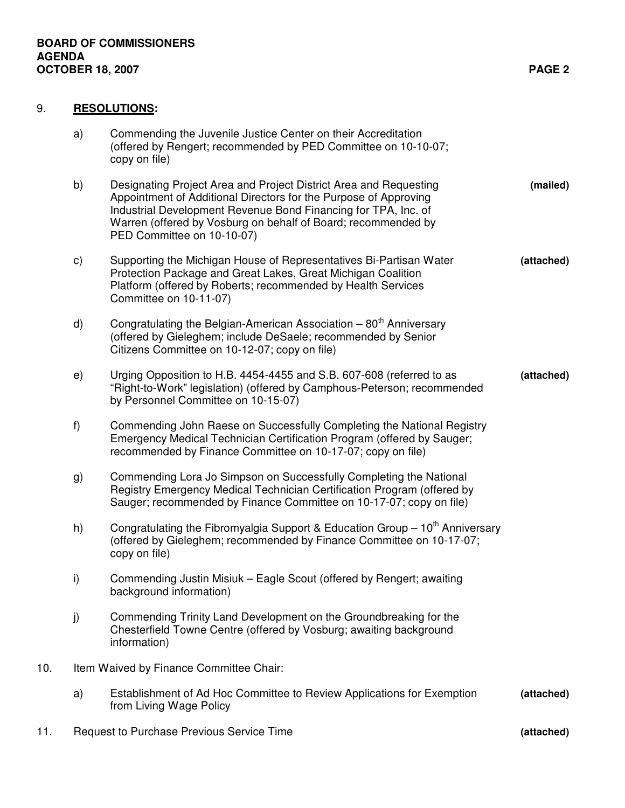# 9. **RESOLUTIONS:**

|     | a)                                      | Commending the Juvenile Justice Center on their Accreditation<br>(offered by Rengert; recommended by PED Committee on 10-10-07;<br>copy on file)                                                                                                                                                       |            |  |
|-----|-----------------------------------------|--------------------------------------------------------------------------------------------------------------------------------------------------------------------------------------------------------------------------------------------------------------------------------------------------------|------------|--|
|     | b)                                      | Designating Project Area and Project District Area and Requesting<br>Appointment of Additional Directors for the Purpose of Approving<br>Industrial Development Revenue Bond Financing for TPA, Inc. of<br>Warren (offered by Vosburg on behalf of Board; recommended by<br>PED Committee on 10-10-07) | (mailed)   |  |
|     | c)                                      | Supporting the Michigan House of Representatives Bi-Partisan Water<br>Protection Package and Great Lakes, Great Michigan Coalition<br>Platform (offered by Roberts; recommended by Health Services<br>Committee on 10-11-07)                                                                           | (attached) |  |
|     | d)                                      | Congratulating the Belgian-American Association $-80th$ Anniversary<br>(offered by Gieleghem; include DeSaele; recommended by Senior<br>Citizens Committee on 10-12-07; copy on file)                                                                                                                  |            |  |
|     | e)                                      | Urging Opposition to H.B. 4454-4455 and S.B. 607-608 (referred to as<br>"Right-to-Work" legislation) (offered by Camphous-Peterson; recommended<br>by Personnel Committee on 10-15-07)                                                                                                                 | (attached) |  |
|     | f)                                      | Commending John Raese on Successfully Completing the National Registry<br>Emergency Medical Technician Certification Program (offered by Sauger;<br>recommended by Finance Committee on 10-17-07; copy on file)                                                                                        |            |  |
|     | g)                                      | Commending Lora Jo Simpson on Successfully Completing the National<br>Registry Emergency Medical Technician Certification Program (offered by<br>Sauger; recommended by Finance Committee on 10-17-07; copy on file)                                                                                   |            |  |
|     | h)                                      | Congratulating the Fibromyalgia Support & Education Group $-10^{th}$ Anniversary<br>(offered by Gieleghem; recommended by Finance Committee on 10-17-07;<br>copy on file)                                                                                                                              |            |  |
|     | i)                                      | Commending Justin Misiuk - Eagle Scout (offered by Rengert; awaiting<br>background information)                                                                                                                                                                                                        |            |  |
|     | j)                                      | Commending Trinity Land Development on the Groundbreaking for the<br>Chesterfield Towne Centre (offered by Vosburg; awaiting background<br>information)                                                                                                                                                |            |  |
| 10. | Item Waived by Finance Committee Chair: |                                                                                                                                                                                                                                                                                                        |            |  |
|     | a)                                      | Establishment of Ad Hoc Committee to Review Applications for Exemption<br>from Living Wage Policy                                                                                                                                                                                                      | (attached) |  |
| 11. |                                         | Request to Purchase Previous Service Time                                                                                                                                                                                                                                                              | (attached) |  |